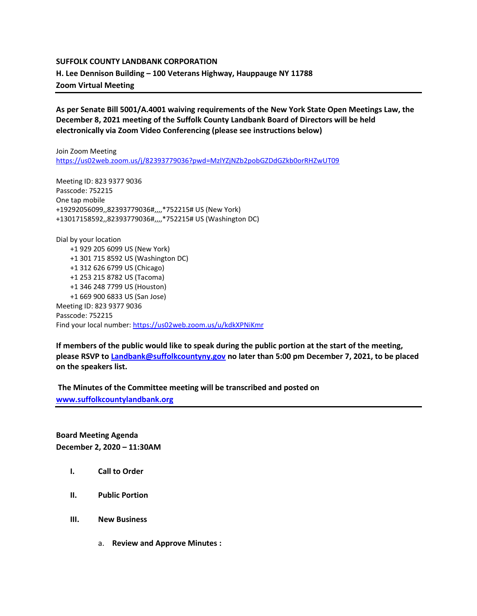## **SUFFOLK COUNTY LANDBANK CORPORATION H. Lee Dennison Building – 100 Veterans Highway, Hauppauge NY 11788 Zoom Virtual Meeting**

**As per Senate Bill 5001/A.4001 waiving requirements of the New York State Open Meetings Law, the December 8, 2021 meeting of the Suffolk County Landbank Board of Directors will be held electronically via Zoom Video Conferencing (please see instructions below)**

Join Zoom Meeting <https://us02web.zoom.us/j/82393779036?pwd=MzlYZjNZb2pobGZDdGZkb0orRHZwUT09>

Meeting ID: 823 9377 9036 Passcode: 752215 One tap mobile +19292056099,,82393779036#,,,,\*752215# US (New York) +13017158592,,82393779036#,,,,\*752215# US (Washington DC)

Dial by your location +1 929 205 6099 US (New York) +1 301 715 8592 US (Washington DC) +1 312 626 6799 US (Chicago) +1 253 215 8782 US (Tacoma) +1 346 248 7799 US (Houston) +1 669 900 6833 US (San Jose) Meeting ID: 823 9377 9036 Passcode: 752215 Find your local number[: https://us02web.zoom.us/u/kdkXPNiKmr](https://us02web.zoom.us/u/kdkXPNiKmr)

**If members of the public would like to speak during the public portion at the start of the meeting, please RSVP t[o Landbank@suffolkcountyny.gov](mailto:Landbank@suffolkcountyny.gov) no later than 5:00 pm December 7, 2021, to be placed on the speakers list.** 

**The Minutes of the Committee meeting will be transcribed and posted on [www.suffolkcountylandbank.org](http://www.suffolkcountylandbank.org/)**

**Board Meeting Agenda December 2, 2020 – 11:30AM**

- **I. Call to Order**
- **II. Public Portion**
- **III. New Business**
	- a. **Review and Approve Minutes :**